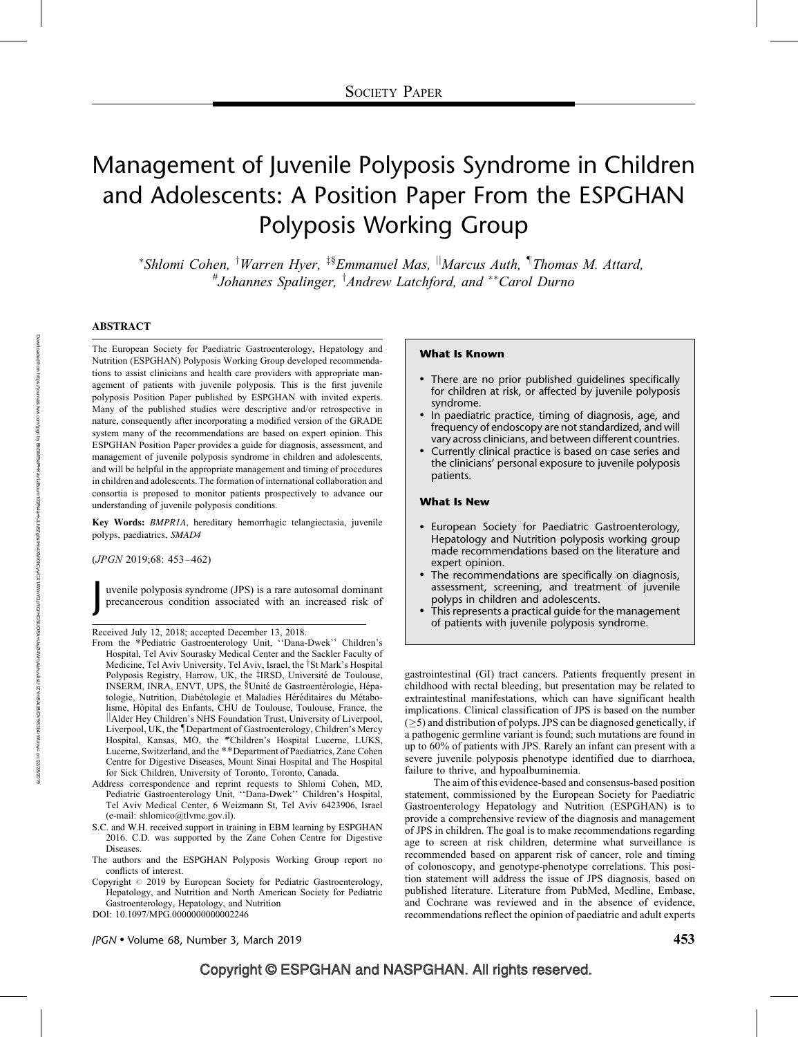# Management of Juvenile Polyposis Syndrome in Children and Adolescents: A Position Paper From the ESPGHAN Polyposis Working Group

\*Shlomi Cohen, <sup>†</sup>Warren Hyer, <sup>‡§</sup>Emmanuel Mas, <sup>||</sup>Marcus Auth, <sup>¶</sup>Thomas M. Attard, #Johannes Spalinger, <sup>†</sup>Andrew Latchford, and \*\*Carol Durno

#### ABSTRACT

The European Society for Paediatric Gastroenterology, Hepatology and Nutrition (ESPGHAN) Polyposis Working Group developed recommendations to assist clinicians and health care providers with appropriate management of patients with juvenile polyposis. This is the first juvenile polyposis Position Paper published by ESPGHAN with invited experts. Many of the published studies were descriptive and/or retrospective in nature, consequently after incorporating a modified version of the GRADE system many of the recommendations are based on expert opinion. This ESPGHAN Position Paper provides a guide for diagnosis, assessment, and management of juvenile polyposis syndrome in children and adolescents, and will be helpful in the appropriate management and timing of procedures in children and adolescents. The formation of international collaboration and consortia is proposed to monitor patients prospectively to advance our understanding of juvenile polyposis conditions.

Key Words: BMPR1A, hereditary hemorrhagic telangiectasia, juvenile polyps, paediatrics, SMAD4

(JPGN 2019;68: 453–462)

J

uvenile polyposis syndrome (JPS) is a rare autosomal dominant precancerous condition associated with an increased risk of

- From the \*Pediatric Gastroenterology Unit, "Dana-Dwek" Children's Hospital, Tel Aviv Sourasky Medical Center and the Sackler Faculty of Medicine, Tel Aviv University, Tel Aviv, Israel, the <sup>†</sup>St Mark's Hospital Polyposis Registry, Harrow, UK, the <sup>†</sup>IRSD, Université de Toulouse, INSERM, INRA, ENVT, UPS, the §Unité de Gastroentérologie, Hépatologie, Nutrition, Diabétologie et Maladies Héréditaires du Métabolisme, Hôpital des Enfants, CHU de Toulouse, Toulouse, France, the ||Alder Hey Children's NHS Foundation Trust, University of Liverpool, Liverpool, UK, the *Department of Gastroenterology*, Children's Mercy Hospital, Kansas, MO, the #Children's Hospital Lucerne, LUKS, Lucerne, Switzerland, and the \*\*Department of Paediatrics, Zane Cohen Centre for Digestive Diseases, Mount Sinai Hospital and The Hospital for Sick Children, University of Toronto, Toronto, Canada.
- Address correspondence and reprint requests to Shlomi Cohen, MD, Pediatric Gastroenterology Unit, ''Dana-Dwek'' Children's Hospital, Tel Aviv Medical Center, 6 Weizmann St, Tel Aviv 6423906, Israel (e-mail: shlomico@tlvmc.gov.il).
- S.C. and W.H. received support in training in EBM learning by ESPGHAN 2016. C.D. was supported by the Zane Cohen Centre for Digestive Diseases.
- The authors and the ESPGHAN Polyposis Working Group report no conflicts of interest.
- Copyright  $@$  2019 by European Society for Pediatric Gastroenterology, Hepatology, and Nutrition and North American Society for Pediatric Gastroenterology, Hepatology, and Nutrition

#### What Is Known

- There are no prior published guidelines specifically for children at risk, or affected by juvenile polyposis syndrome.
- In paediatric practice, timing of diagnosis, age, and frequency of endoscopy are not standardized, and will vary across clinicians, and between different countries.
- Currently clinical practice is based on case series and the clinicians' personal exposure to juvenile polyposis patients.

#### What Is New

- European Society for Paediatric Gastroenterology, Hepatology and Nutrition polyposis working group made recommendations based on the literature and expert opinion.
- The recommendations are specifically on diagnosis, assessment, screening, and treatment of juvenile polyps in children and adolescents.
- This represents a practical guide for the management Received July 12, 2018; accepted December 13, 2018. **Subset Concerned Acceleration** of patients with juvenile polyposis syndrome.

gastrointestinal (GI) tract cancers. Patients frequently present in childhood with rectal bleeding, but presentation may be related to extraintestinal manifestations, which can have significant health implications. Clinical classification of JPS is based on the number  $(5)$  and distribution of polyps. JPS can be diagnosed genetically, if a pathogenic germline variant is found; such mutations are found in up to 60% of patients with JPS. Rarely an infant can present with a severe juvenile polyposis phenotype identified due to diarrhoea, failure to thrive, and hypoalbuminemia.

The aim of this evidence-based and consensus-based position statement, commissioned by the European Society for Paediatric Gastroenterology Hepatology and Nutrition (ESPGHAN) is to provide a comprehensive review of the diagnosis and management of JPS in children. The goal is to make recommendations regarding age to screen at risk children, determine what surveillance is recommended based on apparent risk of cancer, role and timing of colonoscopy, and genotype-phenotype correlations. This position statement will address the issue of JPS diagnosis, based on published literature. Literature from PubMed, Medline, Embase, and Cochrane was reviewed and in the absence of evidence, recommendations reflect the opinion of paediatric and adult experts

DOI: [10.1097/MPG.0000000000002246](http://dx.doi.org/10.1097/MPG.0000000000002246)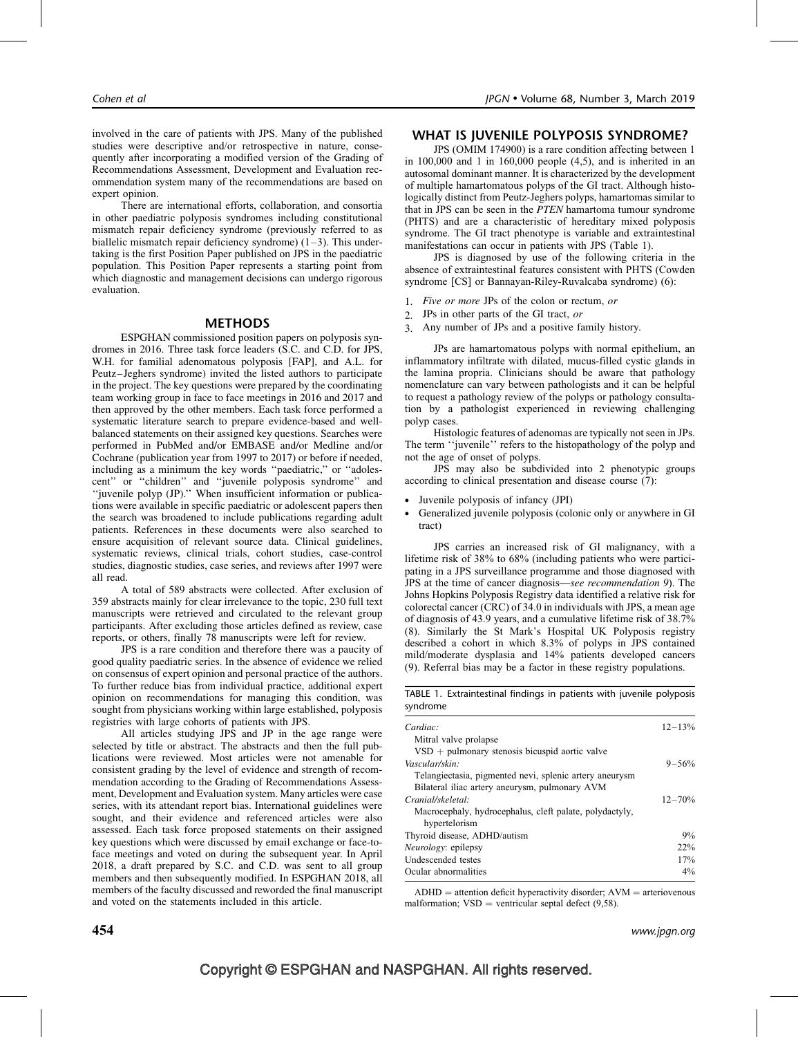involved in the care of patients with JPS. Many of the published studies were descriptive and/or retrospective in nature, consequently after incorporating a modified version of the Grading of Recommendations Assessment, Development and Evaluation recommendation system many of the recommendations are based on expert opinion.

There are international efforts, collaboration, and consortia in other paediatric polyposis syndromes including constitutional mismatch repair deficiency syndrome (previously referred to as biallelic mismatch repair deficiency syndrome)  $(1-3)$ . This undertaking is the first Position Paper published on JPS in the paediatric population. This Position Paper represents a starting point from which diagnostic and management decisions can undergo rigorous evaluation.

#### **METHODS**

ESPGHAN commissioned position papers on polyposis syndromes in 2016. Three task force leaders (S.C. and C.D. for JPS, W.H. for familial adenomatous polyposis [FAP], and A.L. for Peutz–Jeghers syndrome) invited the listed authors to participate in the project. The key questions were prepared by the coordinating team working group in face to face meetings in 2016 and 2017 and then approved by the other members. Each task force performed a systematic literature search to prepare evidence-based and wellbalanced statements on their assigned key questions. Searches were performed in PubMed and/or EMBASE and/or Medline and/or Cochrane (publication year from 1997 to 2017) or before if needed, including as a minimum the key words ''paediatric,'' or ''adolescent'' or ''children'' and ''juvenile polyposis syndrome'' and ''juvenile polyp (JP).'' When insufficient information or publications were available in specific paediatric or adolescent papers then the search was broadened to include publications regarding adult patients. References in these documents were also searched to ensure acquisition of relevant source data. Clinical guidelines, systematic reviews, clinical trials, cohort studies, case-control studies, diagnostic studies, case series, and reviews after 1997 were all read.

A total of 589 abstracts were collected. After exclusion of 359 abstracts mainly for clear irrelevance to the topic, 230 full text manuscripts were retrieved and circulated to the relevant group participants. After excluding those articles defined as review, case reports, or others, finally 78 manuscripts were left for review.

JPS is a rare condition and therefore there was a paucity of good quality paediatric series. In the absence of evidence we relied on consensus of expert opinion and personal practice of the authors. To further reduce bias from individual practice, additional expert opinion on recommendations for managing this condition, was sought from physicians working within large established, polyposis registries with large cohorts of patients with JPS.

All articles studying JPS and JP in the age range were selected by title or abstract. The abstracts and then the full publications were reviewed. Most articles were not amenable for consistent grading by the level of evidence and strength of recommendation according to the Grading of Recommendations Assessment, Development and Evaluation system. Many articles were case series, with its attendant report bias. International guidelines were sought, and their evidence and referenced articles were also assessed. Each task force proposed statements on their assigned key questions which were discussed by email exchange or face-toface meetings and voted on during the subsequent year. In April 2018, a draft prepared by S.C. and C.D. was sent to all group members and then subsequently modified. In ESPGHAN 2018, all members of the faculty discussed and reworded the final manuscript and voted on the statements included in this article.

## WHAT IS JUVENILE POLYPOSIS SYNDROME?

JPS (OMIM 174900) is a rare condition affecting between 1 in 100,000 and 1 in 160,000 people (4,5), and is inherited in an autosomal dominant manner. It is characterized by the development of multiple hamartomatous polyps of the GI tract. Although histologically distinct from Peutz-Jeghers polyps, hamartomas similar to that in JPS can be seen in the PTEN hamartoma tumour syndrome (PHTS) and are a characteristic of hereditary mixed polyposis syndrome. The GI tract phenotype is variable and extraintestinal manifestations can occur in patients with JPS (Table 1).

JPS is diagnosed by use of the following criteria in the absence of extraintestinal features consistent with PHTS (Cowden syndrome [CS] or Bannayan-Riley-Ruvalcaba syndrome) (6):

- 1. Five or more JPs of the colon or rectum, or
- 2. JPs in other parts of the GI tract, or
- 3. Any number of JPs and a positive family history.

JPs are hamartomatous polyps with normal epithelium, an inflammatory infiltrate with dilated, mucus-filled cystic glands in the lamina propria. Clinicians should be aware that pathology nomenclature can vary between pathologists and it can be helpful to request a pathology review of the polyps or pathology consultation by a pathologist experienced in reviewing challenging polyp cases.

Histologic features of adenomas are typically not seen in JPs. The term ''juvenile'' refers to the histopathology of the polyp and not the age of onset of polyps.

JPS may also be subdivided into 2 phenotypic groups according to clinical presentation and disease course (7):

- Juvenile polyposis of infancy (JPI)
- Generalized juvenile polyposis (colonic only or anywhere in GI tract)

JPS carries an increased risk of GI malignancy, with a lifetime risk of 38% to 68% (including patients who were participating in a JPS surveillance programme and those diagnosed with JPS at the time of cancer diagnosis—see recommendation 9). The Johns Hopkins Polyposis Registry data identified a relative risk for colorectal cancer (CRC) of 34.0 in individuals with JPS, a mean age of diagnosis of 43.9 years, and a cumulative lifetime risk of 38.7% (8). Similarly the St Mark's Hospital UK Polyposis registry described a cohort in which 8.3% of polyps in JPS contained mild/moderate dysplasia and 14% patients developed cancers (9). Referral bias may be a factor in these registry populations.

TABLE 1. Extraintestinal findings in patients with juvenile polyposis syndrome

| Cardiac:                                                | $12 - 13%$ |
|---------------------------------------------------------|------------|
| Mitral valve prolapse                                   |            |
| $VSD$ + pulmonary stenosis bicuspid aortic valve        |            |
| Vascular/skin:                                          | $9 - 56%$  |
| Telangiectasia, pigmented nevi, splenic artery aneurysm |            |
| Bilateral iliac artery aneurysm, pulmonary AVM          |            |
| Cranial/skeletal:                                       | $12 - 70%$ |
| Macrocephaly, hydrocephalus, cleft palate, polydactyly, |            |
| hypertelorism                                           |            |
| Thyroid disease, ADHD/autism                            | 9%         |
| Neurology: epilepsy                                     | 22%        |
| Undescended testes                                      | 17%        |
| Ocular abnormalities                                    | $4\%$      |

 $ADHD =$  attention deficit hyperactivity disorder;  $AVM =$  arteriovenous malformation;  $VSD =$  ventricular septal defect (9,58).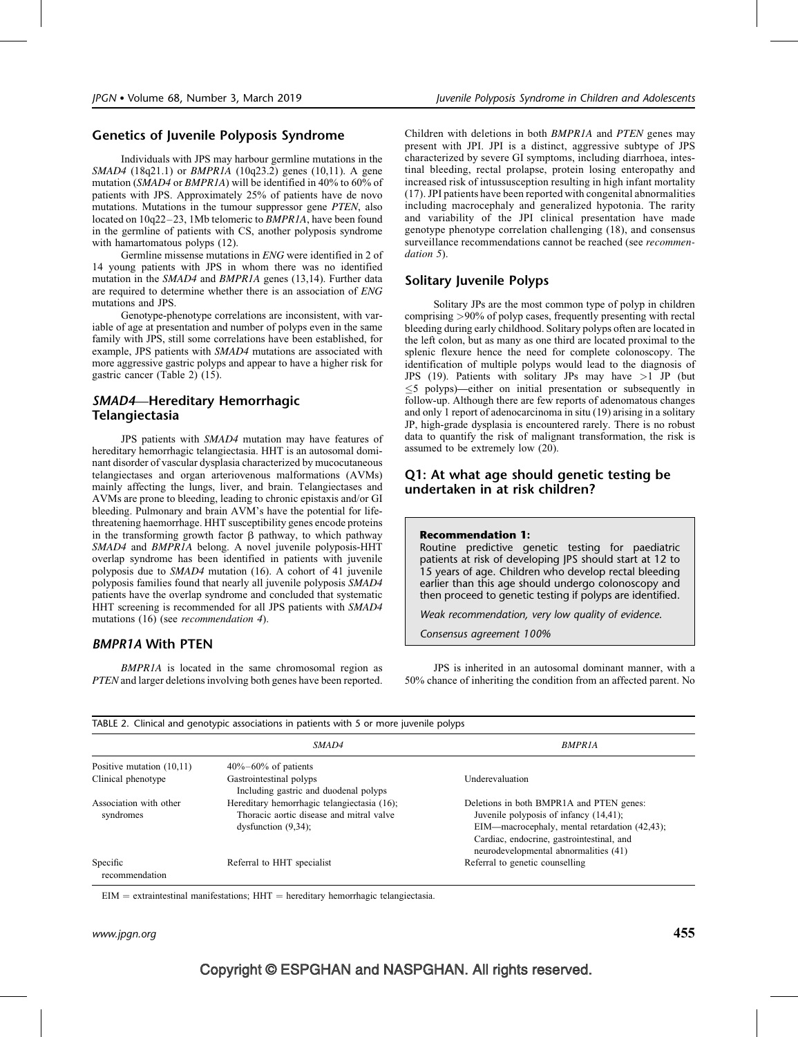## Genetics of Juvenile Polyposis Syndrome

Individuals with JPS may harbour germline mutations in the SMAD4 (18q21.1) or *BMPR1A* (10q23.2) genes (10,11). A gene mutation (SMAD4 or BMPR1A) will be identified in 40% to 60% of patients with JPS. Approximately 25% of patients have de novo mutations. Mutations in the tumour suppressor gene PTEN, also located on  $10q22-23$ , 1Mb telomeric to *BMPR1A*, have been found in the germline of patients with CS, another polyposis syndrome with hamartomatous polyps (12).

Germline missense mutations in ENG were identified in 2 of 14 young patients with JPS in whom there was no identified mutation in the SMAD4 and BMPR1A genes (13,14). Further data are required to determine whether there is an association of ENG mutations and JPS.

Genotype-phenotype correlations are inconsistent, with variable of age at presentation and number of polyps even in the same family with JPS, still some correlations have been established, for example, JPS patients with SMAD4 mutations are associated with more aggressive gastric polyps and appear to have a higher risk for gastric cancer (Table 2) (15).

## SMAD4—Hereditary Hemorrhagic Telangiectasia

JPS patients with SMAD4 mutation may have features of hereditary hemorrhagic telangiectasia. HHT is an autosomal dominant disorder of vascular dysplasia characterized by mucocutaneous telangiectases and organ arteriovenous malformations (AVMs) mainly affecting the lungs, liver, and brain. Telangiectases and AVMs are prone to bleeding, leading to chronic epistaxis and/or GI bleeding. Pulmonary and brain AVM's have the potential for lifethreatening haemorrhage. HHT susceptibility genes encode proteins in the transforming growth factor  $\beta$  pathway, to which pathway SMAD4 and BMPR1A belong. A novel juvenile polyposis-HHT overlap syndrome has been identified in patients with juvenile polyposis due to SMAD4 mutation (16). A cohort of 41 juvenile polyposis families found that nearly all juvenile polyposis SMAD4 patients have the overlap syndrome and concluded that systematic HHT screening is recommended for all JPS patients with SMAD4 mutations (16) (see recommendation 4).

## BMPR1A With PTEN

BMPR1A is located in the same chromosomal region as PTEN and larger deletions involving both genes have been reported. Children with deletions in both BMPR1A and PTEN genes may present with JPI. JPI is a distinct, aggressive subtype of JPS characterized by severe GI symptoms, including diarrhoea, intestinal bleeding, rectal prolapse, protein losing enteropathy and increased risk of intussusception resulting in high infant mortality (17). JPI patients have been reported with congenital abnormalities including macrocephaly and generalized hypotonia. The rarity and variability of the JPI clinical presentation have made genotype phenotype correlation challenging (18), and consensus surveillance recommendations cannot be reached (see *recommen*dation 5).

## Solitary Juvenile Polyps

Solitary JPs are the most common type of polyp in children comprising >90% of polyp cases, frequently presenting with rectal bleeding during early childhood. Solitary polyps often are located in the left colon, but as many as one third are located proximal to the splenic flexure hence the need for complete colonoscopy. The identification of multiple polyps would lead to the diagnosis of JPS (19). Patients with solitary JPs may have  $>1$  JP (but  $\leq$  5 polyps)—either on initial presentation or subsequently in follow-up. Although there are few reports of adenomatous changes and only 1 report of adenocarcinoma in situ (19) arising in a solitary JP, high-grade dysplasia is encountered rarely. There is no robust data to quantify the risk of malignant transformation, the risk is assumed to be extremely low (20).

## Q1: At what age should genetic testing be undertaken in at risk children?

## Recommendation 1:

Routine predictive genetic testing for paediatric patients at risk of developing JPS should start at 12 to 15 years of age. Children who develop rectal bleeding earlier than this age should undergo colonoscopy and then proceed to genetic testing if polyps are identified.

Weak recommendation, very low quality of evidence.

Consensus agreement 100%

JPS is inherited in an autosomal dominant manner, with a 50% chance of inheriting the condition from an affected parent. No

|                                     | <i>SMAD4</i>                                                                                                      | <b>BMPRIA</b>                                                                                                                                                                                                             |  |  |
|-------------------------------------|-------------------------------------------------------------------------------------------------------------------|---------------------------------------------------------------------------------------------------------------------------------------------------------------------------------------------------------------------------|--|--|
| Positive mutation $(10,11)$         | $40\% - 60\%$ of patients                                                                                         |                                                                                                                                                                                                                           |  |  |
| Clinical phenotype                  | Gastrointestinal polyps<br>Including gastric and duodenal polyps                                                  | Underevaluation                                                                                                                                                                                                           |  |  |
| Association with other<br>syndromes | Hereditary hemorrhagic telangiectasia (16);<br>Thoracic aortic disease and mitral valve<br>dysfunction $(9,34)$ ; | Deletions in both BMPR1A and PTEN genes:<br>Juvenile polyposis of infancy (14,41);<br>EIM—macrocephaly, mental retardation (42,43);<br>Cardiac, endocrine, gastrointestinal, and<br>neurodevelopmental abnormalities (41) |  |  |
| Specific<br>recommendation          | Referral to HHT specialist                                                                                        | Referral to genetic counselling                                                                                                                                                                                           |  |  |

 $EIM =$  extraintestinal manifestations;  $HHT =$  hereditary hemorrhagic telangiectasia.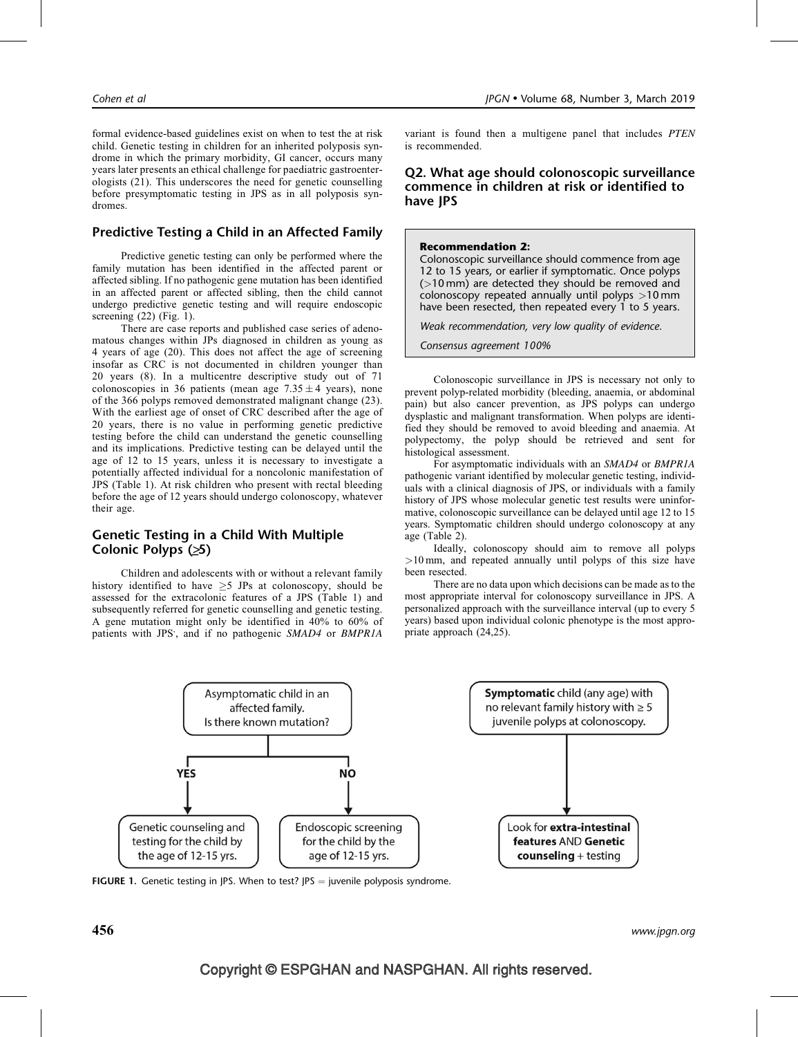formal evidence-based guidelines exist on when to test the at risk child. Genetic testing in children for an inherited polyposis syndrome in which the primary morbidity, GI cancer, occurs many years later presents an ethical challenge for paediatric gastroenterologists (21). This underscores the need for genetic counselling before presymptomatic testing in JPS as in all polyposis syndromes.

## Predictive Testing a Child in an Affected Family

Predictive genetic testing can only be performed where the family mutation has been identified in the affected parent or affected sibling. If no pathogenic gene mutation has been identified in an affected parent or affected sibling, then the child cannot undergo predictive genetic testing and will require endoscopic screening  $(22)$  (Fig. 1).

There are case reports and published case series of adenomatous changes within JPs diagnosed in children as young as 4 years of age (20). This does not affect the age of screening insofar as CRC is not documented in children younger than 20 years (8). In a multicentre descriptive study out of 71 colonoscopies in 36 patients (mean age  $7.35 \pm 4$  years), none of the 366 polyps removed demonstrated malignant change (23). With the earliest age of onset of CRC described after the age of 20 years, there is no value in performing genetic predictive testing before the child can understand the genetic counselling and its implications. Predictive testing can be delayed until the age of 12 to 15 years, unless it is necessary to investigate a potentially affected individual for a noncolonic manifestation of JPS (Table 1). At risk children who present with rectal bleeding before the age of 12 years should undergo colonoscopy, whatever their age.

## Genetic Testing in a Child With Multiple Colonic Polyps  $(25)$

Children and adolescents with or without a relevant family history identified to have  $\geq$ 5 JPs at colonoscopy, should be assessed for the extracolonic features of a JPS (Table 1) and subsequently referred for genetic counselling and genetic testing. A gene mutation might only be identified in 40% to 60% of patients with JPS', and if no pathogenic SMAD4 or BMPR1A

variant is found then a multigene panel that includes PTEN is recommended.

## Q2. What age should colonoscopic surveillance commence in children at risk or identified to have JPS

#### Recommendation 2:

Colonoscopic surveillance should commence from age 12 to 15 years, or earlier if symptomatic. Once polyps (>10 mm) are detected they should be removed and colonoscopy repeated annually until polyps >10 mm have been resected, then repeated every 1 to 5 years.

Weak recommendation, very low quality of evidence.

Consensus agreement 100%

Colonoscopic surveillance in JPS is necessary not only to prevent polyp-related morbidity (bleeding, anaemia, or abdominal pain) but also cancer prevention, as JPS polyps can undergo dysplastic and malignant transformation. When polyps are identified they should be removed to avoid bleeding and anaemia. At polypectomy, the polyp should be retrieved and sent for histological assessment.

For asymptomatic individuals with an SMAD4 or BMPR1A pathogenic variant identified by molecular genetic testing, individuals with a clinical diagnosis of JPS, or individuals with a family history of JPS whose molecular genetic test results were uninformative, colonoscopic surveillance can be delayed until age 12 to 15 years. Symptomatic children should undergo colonoscopy at any age (Table 2).

Ideally, colonoscopy should aim to remove all polyps >10 mm, and repeated annually until polyps of this size have been resected.

There are no data upon which decisions can be made as to the most appropriate interval for colonoscopy surveillance in JPS. A personalized approach with the surveillance interval (up to every 5 years) based upon individual colonic phenotype is the most appropriate approach (24,25).



**FIGURE 1.** Genetic testing in JPS. When to test? JPS = juvenile polyposis syndrome.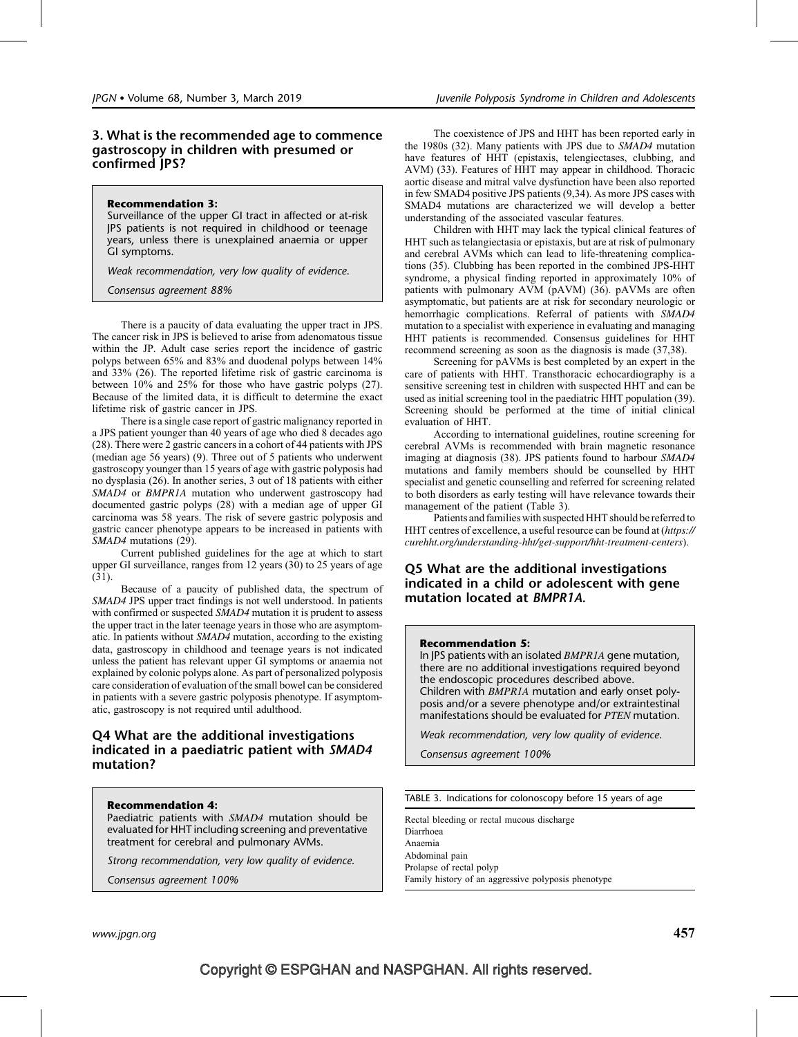## 3. What is the recommended age to commence gastroscopy in children with presumed or confirmed JPS?

#### Recommendation 3:

Surveillance of the upper GI tract in affected or at-risk JPS patients is not required in childhood or teenage years, unless there is unexplained anaemia or upper GI symptoms.

Weak recommendation, very low quality of evidence.

Consensus agreement 88%

There is a paucity of data evaluating the upper tract in JPS. The cancer risk in JPS is believed to arise from adenomatous tissue within the JP. Adult case series report the incidence of gastric polyps between 65% and 83% and duodenal polyps between 14% and 33% (26). The reported lifetime risk of gastric carcinoma is between 10% and 25% for those who have gastric polyps (27). Because of the limited data, it is difficult to determine the exact lifetime risk of gastric cancer in JPS.

There is a single case report of gastric malignancy reported in a JPS patient younger than 40 years of age who died 8 decades ago (28). There were 2 gastric cancers in a cohort of 44 patients with JPS (median age 56 years) (9). Three out of 5 patients who underwent gastroscopy younger than 15 years of age with gastric polyposis had no dysplasia (26). In another series, 3 out of 18 patients with either SMAD4 or BMPR1A mutation who underwent gastroscopy had documented gastric polyps (28) with a median age of upper GI carcinoma was 58 years. The risk of severe gastric polyposis and gastric cancer phenotype appears to be increased in patients with SMAD4 mutations (29).

Current published guidelines for the age at which to start upper GI surveillance, ranges from 12 years (30) to 25 years of age (31).

Because of a paucity of published data, the spectrum of SMAD4 JPS upper tract findings is not well understood. In patients with confirmed or suspected SMAD4 mutation it is prudent to assess the upper tract in the later teenage years in those who are asymptomatic. In patients without SMAD4 mutation, according to the existing data, gastroscopy in childhood and teenage years is not indicated unless the patient has relevant upper GI symptoms or anaemia not explained by colonic polyps alone. As part of personalized polyposis care consideration of evaluation of the small bowel can be considered in patients with a severe gastric polyposis phenotype. If asymptomatic, gastroscopy is not required until adulthood.

## Q4 What are the additional investigations indicated in a paediatric patient with SMAD4 mutation?

#### Recommendation 4:

Paediatric patients with SMAD4 mutation should be evaluated for HHT including screening and preventative treatment for cerebral and pulmonary AVMs.

Strong recommendation, very low quality of evidence.

Consensus agreement 100%

The coexistence of JPS and HHT has been reported early in the 1980s (32). Many patients with JPS due to SMAD4 mutation have features of HHT (epistaxis, telengiectases, clubbing, and AVM) (33). Features of HHT may appear in childhood. Thoracic aortic disease and mitral valve dysfunction have been also reported in few SMAD4 positive JPS patients (9,34). As more JPS cases with SMAD4 mutations are characterized we will develop a better understanding of the associated vascular features.

Children with HHT may lack the typical clinical features of HHT such as telangiectasia or epistaxis, but are at risk of pulmonary and cerebral AVMs which can lead to life-threatening complications (35). Clubbing has been reported in the combined JPS-HHT syndrome, a physical finding reported in approximately 10% of patients with pulmonary AVM (pAVM) (36). pAVMs are often asymptomatic, but patients are at risk for secondary neurologic or hemorrhagic complications. Referral of patients with SMAD4 mutation to a specialist with experience in evaluating and managing HHT patients is recommended. Consensus guidelines for HHT recommend screening as soon as the diagnosis is made (37,38).

Screening for pAVMs is best completed by an expert in the care of patients with HHT. Transthoracic echocardiography is a sensitive screening test in children with suspected HHT and can be used as initial screening tool in the paediatric HHT population (39). Screening should be performed at the time of initial clinical evaluation of HHT.

According to international guidelines, routine screening for cerebral AVMs is recommended with brain magnetic resonance imaging at diagnosis (38). JPS patients found to harbour SMAD4 mutations and family members should be counselled by HHT specialist and genetic counselling and referred for screening related to both disorders as early testing will have relevance towards their management of the patient (Table 3).

Patients and families with suspected HHT should be referred to HHT centres of excellence, a useful resource can be found at ([https://](https://curehht.org/understanding-hht/get-support/hht-treatment-centers) [curehht.org/understanding-hht/get-support/hht-treatment-centers](https://curehht.org/understanding-hht/get-support/hht-treatment-centers)).

## Q5 What are the additional investigations indicated in a child or adolescent with gene mutation located at BMPR1A.

#### Recommendation 5:

In JPS patients with an isolated BMPR1A gene mutation, there are no additional investigations required beyond the endoscopic procedures described above. Children with BMPR1A mutation and early onset polyposis and/or a severe phenotype and/or extraintestinal manifestations should be evaluated for PTEN mutation.

Weak recommendation, very low quality of evidence.

Consensus agreement 100%

TABLE 3. Indications for colonoscopy before 15 years of age

Rectal bleeding or rectal mucous discharge Diarrhoea Anaemia Abdominal pain Prolapse of rectal polyp Family history of an aggressive polyposis phenotype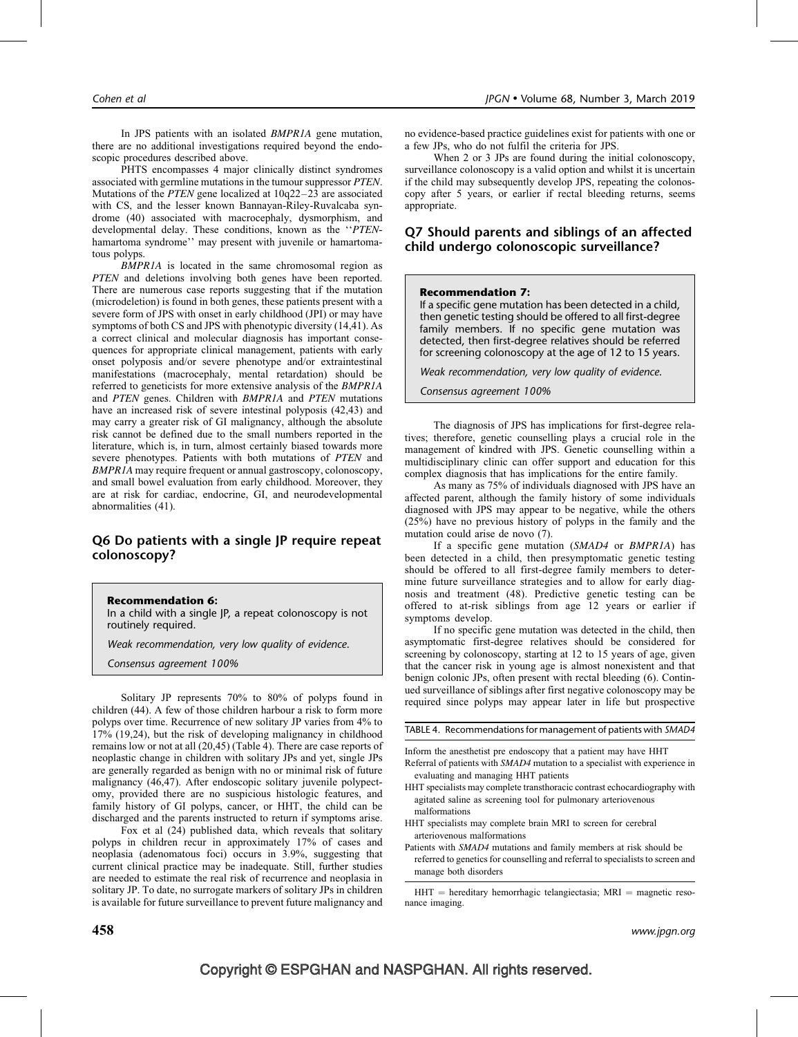In JPS patients with an isolated BMPR1A gene mutation, there are no additional investigations required beyond the endoscopic procedures described above.

PHTS encompasses 4 major clinically distinct syndromes associated with germline mutations in the tumour suppressor PTEN. Mutations of the PTEN gene localized at 10q22–23 are associated with CS, and the lesser known Bannayan-Riley-Ruvalcaba syndrome (40) associated with macrocephaly, dysmorphism, and developmental delay. These conditions, known as the ''PTENhamartoma syndrome'' may present with juvenile or hamartomatous polyps.

BMPR1A is located in the same chromosomal region as PTEN and deletions involving both genes have been reported. There are numerous case reports suggesting that if the mutation (microdeletion) is found in both genes, these patients present with a severe form of JPS with onset in early childhood (JPI) or may have symptoms of both CS and JPS with phenotypic diversity (14,41). As a correct clinical and molecular diagnosis has important consequences for appropriate clinical management, patients with early onset polyposis and/or severe phenotype and/or extraintestinal manifestations (macrocephaly, mental retardation) should be referred to geneticists for more extensive analysis of the BMPR1A and PTEN genes. Children with BMPR1A and PTEN mutations have an increased risk of severe intestinal polyposis (42,43) and may carry a greater risk of GI malignancy, although the absolute risk cannot be defined due to the small numbers reported in the literature, which is, in turn, almost certainly biased towards more severe phenotypes. Patients with both mutations of PTEN and BMPR1A may require frequent or annual gastroscopy, colonoscopy, and small bowel evaluation from early childhood. Moreover, they are at risk for cardiac, endocrine, GI, and neurodevelopmental abnormalities (41).

## Q6 Do patients with a single JP require repeat colonoscopy?

Recommendation 6:

In a child with a single JP, a repeat colonoscopy is not routinely required.

Weak recommendation, very low quality of evidence.

Consensus agreement 100%

Solitary JP represents 70% to 80% of polyps found in children (44). A few of those children harbour a risk to form more polyps over time. Recurrence of new solitary JP varies from 4% to 17% (19,24), but the risk of developing malignancy in childhood remains low or not at all (20,45) (Table 4). There are case reports of neoplastic change in children with solitary JPs and yet, single JPs are generally regarded as benign with no or minimal risk of future malignancy (46,47). After endoscopic solitary juvenile polypectomy, provided there are no suspicious histologic features, and family history of GI polyps, cancer, or HHT, the child can be discharged and the parents instructed to return if symptoms arise.

Fox et al (24) published data, which reveals that solitary polyps in children recur in approximately 17% of cases and neoplasia (adenomatous foci) occurs in 3.9%, suggesting that current clinical practice may be inadequate. Still, further studies are needed to estimate the real risk of recurrence and neoplasia in solitary JP. To date, no surrogate markers of solitary JPs in children is available for future surveillance to prevent future malignancy and

When 2 or 3 JPs are found during the initial colonoscopy, surveillance colonoscopy is a valid option and whilst it is uncertain if the child may subsequently develop JPS, repeating the colonoscopy after 5 years, or earlier if rectal bleeding returns, seems appropriate.

## Q7 Should parents and siblings of an affected child undergo colonoscopic surveillance?

#### Recommendation 7:

If a specific gene mutation has been detected in a child, then genetic testing should be offered to all first-degree family members. If no specific gene mutation was detected, then first-degree relatives should be referred for screening colonoscopy at the age of 12 to 15 years.

Weak recommendation, very low quality of evidence.

Consensus agreement 100%

The diagnosis of JPS has implications for first-degree relatives; therefore, genetic counselling plays a crucial role in the management of kindred with JPS. Genetic counselling within a multidisciplinary clinic can offer support and education for this complex diagnosis that has implications for the entire family.

As many as 75% of individuals diagnosed with JPS have an affected parent, although the family history of some individuals diagnosed with JPS may appear to be negative, while the others (25%) have no previous history of polyps in the family and the mutation could arise de novo (7).

If a specific gene mutation (SMAD4 or BMPR1A) has been detected in a child, then presymptomatic genetic testing should be offered to all first-degree family members to determine future surveillance strategies and to allow for early diagnosis and treatment (48). Predictive genetic testing can be offered to at-risk siblings from age 12 years or earlier if symptoms develop.

If no specific gene mutation was detected in the child, then asymptomatic first-degree relatives should be considered for screening by colonoscopy, starting at 12 to 15 years of age, given that the cancer risk in young age is almost nonexistent and that benign colonic JPs, often present with rectal bleeding (6). Continued surveillance of siblings after first negative colonoscopy may be required since polyps may appear later in life but prospective

TABLE 4. Recommendations for management of patients with SMAD4

Inform the anesthetist pre endoscopy that a patient may have HHT

Referral of patients with SMAD4 mutation to a specialist with experience in evaluating and managing HHT patients

- HHT specialists may complete transthoracic contrast echocardiography with agitated saline as screening tool for pulmonary arteriovenous malformations
- HHT specialists may complete brain MRI to screen for cerebral arteriovenous malformations
- Patients with SMAD4 mutations and family members at risk should be referred to genetics for counselling and referral to specialists to screen and manage both disorders

 $HHT$  = hereditary hemorrhagic telangiectasia;  $MRI$  = magnetic resonance imaging.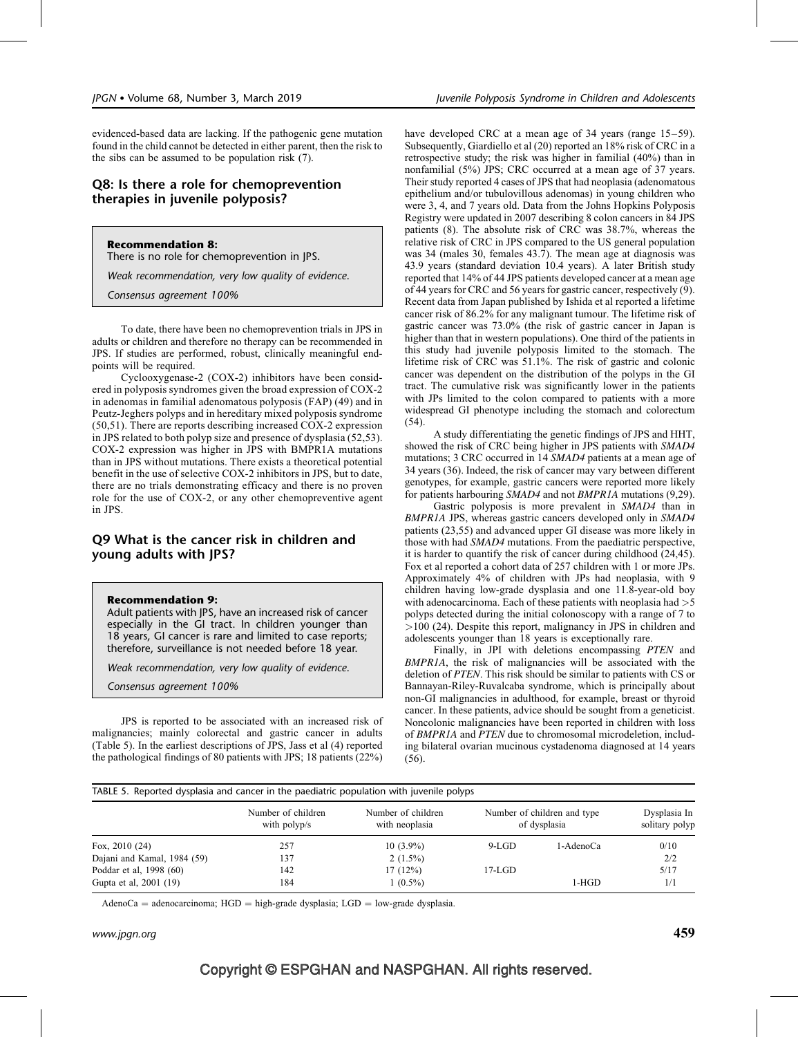evidenced-based data are lacking. If the pathogenic gene mutation found in the child cannot be detected in either parent, then the risk to the sibs can be assumed to be population risk (7).

## Q8: Is there a role for chemoprevention therapies in juvenile polyposis?

Recommendation 8: There is no role for chemoprevention in JPS.

Weak recommendation, very low quality of evidence.

Consensus agreement 100%

To date, there have been no chemoprevention trials in JPS in adults or children and therefore no therapy can be recommended in JPS. If studies are performed, robust, clinically meaningful endpoints will be required.

Cyclooxygenase-2 (COX-2) inhibitors have been considered in polyposis syndromes given the broad expression of COX-2 in adenomas in familial adenomatous polyposis (FAP) (49) and in Peutz-Jeghers polyps and in hereditary mixed polyposis syndrome (50,51). There are reports describing increased COX-2 expression in JPS related to both polyp size and presence of dysplasia (52,53). COX-2 expression was higher in JPS with BMPR1A mutations than in JPS without mutations. There exists a theoretical potential benefit in the use of selective COX-2 inhibitors in JPS, but to date, there are no trials demonstrating efficacy and there is no proven role for the use of COX-2, or any other chemopreventive agent in JPS.

## Q9 What is the cancer risk in children and young adults with JPS?

#### Recommendation 9:

Adult patients with JPS, have an increased risk of cancer especially in the GI tract. In children younger than 18 years, GI cancer is rare and limited to case reports; therefore, surveillance is not needed before 18 year.

Weak recommendation, very low quality of evidence.

Consensus agreement 100%

JPS is reported to be associated with an increased risk of malignancies; mainly colorectal and gastric cancer in adults (Table 5). In the earliest descriptions of JPS, Jass et al (4) reported the pathological findings of 80 patients with JPS; 18 patients (22%)

have developed CRC at a mean age of 34 years (range 15–59). Subsequently, Giardiello et al (20) reported an 18% risk of CRC in a retrospective study; the risk was higher in familial (40%) than in nonfamilial (5%) JPS; CRC occurred at a mean age of 37 years. Their study reported 4 cases of JPS that had neoplasia (adenomatous epithelium and/or tubulovillous adenomas) in young children who were 3, 4, and 7 years old. Data from the Johns Hopkins Polyposis Registry were updated in 2007 describing 8 colon cancers in 84 JPS patients (8). The absolute risk of CRC was 38.7%, whereas the relative risk of CRC in JPS compared to the US general population was 34 (males 30, females 43.7). The mean age at diagnosis was 43.9 years (standard deviation 10.4 years). A later British study reported that 14% of 44 JPS patients developed cancer at a mean age of 44 years for CRC and 56 years for gastric cancer, respectively (9). Recent data from Japan published by Ishida et al reported a lifetime cancer risk of 86.2% for any malignant tumour. The lifetime risk of gastric cancer was 73.0% (the risk of gastric cancer in Japan is higher than that in western populations). One third of the patients in this study had juvenile polyposis limited to the stomach. The lifetime risk of CRC was 51.1%. The risk of gastric and colonic cancer was dependent on the distribution of the polyps in the GI tract. The cumulative risk was significantly lower in the patients with JPs limited to the colon compared to patients with a more widespread GI phenotype including the stomach and colorectum (54).

A study differentiating the genetic findings of JPS and HHT, showed the risk of CRC being higher in JPS patients with SMAD4 mutations; 3 CRC occurred in 14 SMAD4 patients at a mean age of 34 years (36). Indeed, the risk of cancer may vary between different genotypes, for example, gastric cancers were reported more likely for patients harbouring SMAD4 and not BMPR1A mutations (9,29).

Gastric polyposis is more prevalent in SMAD4 than in BMPR1A JPS, whereas gastric cancers developed only in SMAD4 patients (23,55) and advanced upper GI disease was more likely in those with had SMAD4 mutations. From the paediatric perspective, it is harder to quantify the risk of cancer during childhood (24,45). Fox et al reported a cohort data of 257 children with 1 or more JPs. Approximately 4% of children with JPs had neoplasia, with 9 children having low-grade dysplasia and one 11.8-year-old boy with adenocarcinoma. Each of these patients with neoplasia had  $>5$ polyps detected during the initial colonoscopy with a range of 7 to >100 (24). Despite this report, malignancy in JPS in children and adolescents younger than 18 years is exceptionally rare.

Finally, in JPI with deletions encompassing PTEN and BMPR1A, the risk of malignancies will be associated with the deletion of PTEN. This risk should be similar to patients with CS or Bannayan-Riley-Ruvalcaba syndrome, which is principally about non-GI malignancies in adulthood, for example, breast or thyroid cancer. In these patients, advice should be sought from a geneticist. Noncolonic malignancies have been reported in children with loss of BMPR1A and PTEN due to chromosomal microdeletion, including bilateral ovarian mucinous cystadenoma diagnosed at 14 years (56).

TABLE 5. Reported dysplasia and cancer in the paediatric population with juvenile polyps

| Fox, $2010(24)$             | Number of children<br>with polyp/s | Number of children<br>with neoplasia | Number of children and type<br>of dysplasia |           | Dysplasia In<br>solitary polyp |
|-----------------------------|------------------------------------|--------------------------------------|---------------------------------------------|-----------|--------------------------------|
|                             | 257                                | $10(3.9\%)$                          | 9-LGD                                       | 1-AdenoCa | 0/10                           |
| Dajani and Kamal, 1984 (59) | 137                                | $2(1.5\%)$                           |                                             |           | 2/2                            |
| Poddar et al, 1998 (60)     | 142                                | 17(12%)                              | $17-LGD$                                    |           | 5/17                           |
| Gupta et al, 2001 (19)      | 184                                | $1(0.5\%)$                           |                                             | 1-HGD     | 1/1                            |

 $AdenoCa = adenocarcinoma; HGD = high-grade dysplasia; LGD = low-grade dysplasia.$ 

www.jpgn.org  $459$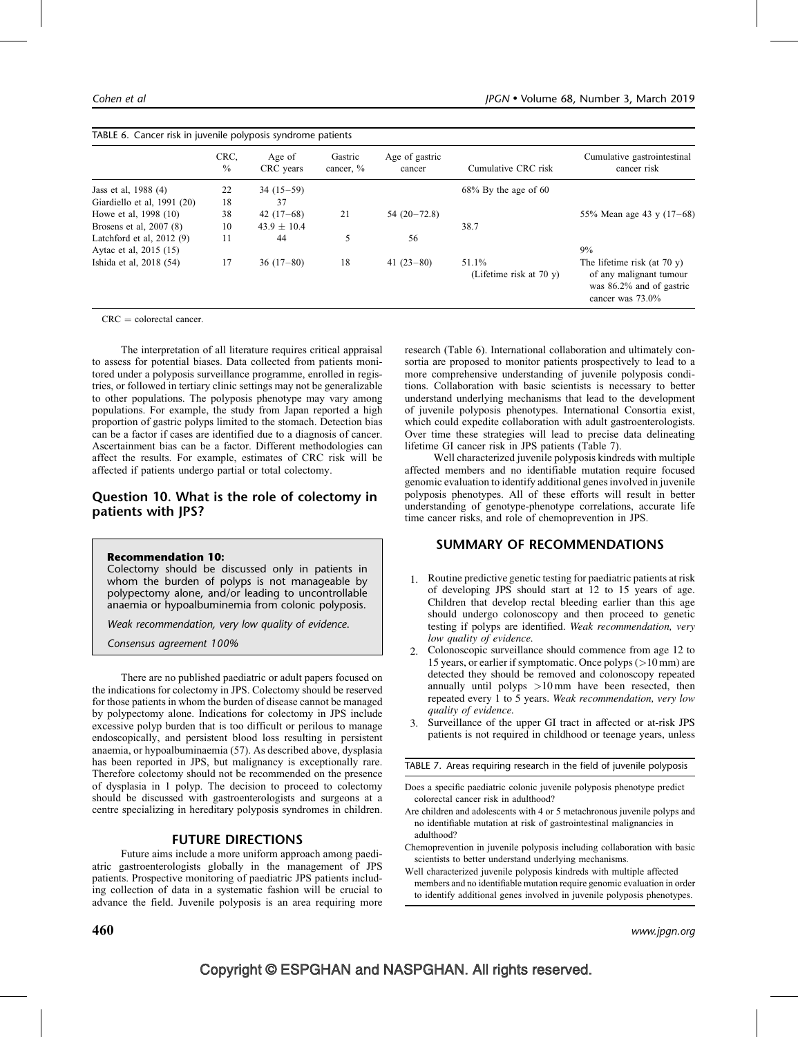|                             | CRC.<br>$\frac{0}{0}$ | Age of<br>CRC years | Gastric<br>cancer, % | Age of gastric<br>cancer | Cumulative CRC risk                 | Cumulative gastrointestinal<br>cancer risk                                                                |
|-----------------------------|-----------------------|---------------------|----------------------|--------------------------|-------------------------------------|-----------------------------------------------------------------------------------------------------------|
| Jass et al. 1988 (4)        | 22                    | $34(15-59)$         |                      |                          | $68\%$ By the age of 60             |                                                                                                           |
| Giardiello et al. 1991 (20) | 18                    | 37                  |                      |                          |                                     |                                                                                                           |
| Howe et al, 1998 (10)       | 38                    | $42(17-68)$         | 21                   | $54(20-72.8)$            |                                     | 55% Mean age 43 y $(17-68)$                                                                               |
| Brosens et al, 2007 (8)     | 10                    | $43.9 \pm 10.4$     |                      |                          | 38.7                                |                                                                                                           |
| Latchford et al. $2012(9)$  | 11                    | 44                  | 5                    | 56                       |                                     |                                                                                                           |
| Aytac et al. 2015 (15)      |                       |                     |                      |                          |                                     | 9%                                                                                                        |
| Ishida et al, 2018 (54)     | 17                    | $36(17-80)$         | 18                   | 41 $(23-80)$             | 51.1%<br>(Lifetime risk at $70 y$ ) | The lifetime risk (at $70 y$ )<br>of any malignant tumour<br>was 86.2% and of gastric<br>cancer was 73.0% |

 $CRC =$  colorectal cancer.

The interpretation of all literature requires critical appraisal to assess for potential biases. Data collected from patients monitored under a polyposis surveillance programme, enrolled in registries, or followed in tertiary clinic settings may not be generalizable to other populations. The polyposis phenotype may vary among populations. For example, the study from Japan reported a high proportion of gastric polyps limited to the stomach. Detection bias can be a factor if cases are identified due to a diagnosis of cancer. Ascertainment bias can be a factor. Different methodologies can affect the results. For example, estimates of CRC risk will be affected if patients undergo partial or total colectomy.

## Question 10. What is the role of colectomy in patients with JPS?

#### Recommendation 10:

Colectomy should be discussed only in patients in whom the burden of polyps is not manageable by polypectomy alone, and/or leading to uncontrollable anaemia or hypoalbuminemia from colonic polyposis.

Weak recommendation, very low quality of evidence.

Consensus agreement 100%

There are no published paediatric or adult papers focused on the indications for colectomy in JPS. Colectomy should be reserved for those patients in whom the burden of disease cannot be managed by polypectomy alone. Indications for colectomy in JPS include excessive polyp burden that is too difficult or perilous to manage endoscopically, and persistent blood loss resulting in persistent anaemia, or hypoalbuminaemia (57). As described above, dysplasia has been reported in JPS, but malignancy is exceptionally rare. Therefore colectomy should not be recommended on the presence of dysplasia in 1 polyp. The decision to proceed to colectomy should be discussed with gastroenterologists and surgeons at a centre specializing in hereditary polyposis syndromes in children.

#### FUTURE DIRECTIONS

Future aims include a more uniform approach among paediatric gastroenterologists globally in the management of JPS patients. Prospective monitoring of paediatric JPS patients including collection of data in a systematic fashion will be crucial to advance the field. Juvenile polyposis is an area requiring more research (Table 6). International collaboration and ultimately consortia are proposed to monitor patients prospectively to lead to a more comprehensive understanding of juvenile polyposis conditions. Collaboration with basic scientists is necessary to better understand underlying mechanisms that lead to the development of juvenile polyposis phenotypes. International Consortia exist, which could expedite collaboration with adult gastroenterologists. Over time these strategies will lead to precise data delineating lifetime GI cancer risk in JPS patients (Table 7).

Well characterized juvenile polyposis kindreds with multiple affected members and no identifiable mutation require focused genomic evaluation to identify additional genes involved in juvenile polyposis phenotypes. All of these efforts will result in better understanding of genotype-phenotype correlations, accurate life time cancer risks, and role of chemoprevention in JPS.

## SUMMARY OF RECOMMENDATIONS

- 1. Routine predictive genetic testing for paediatric patients at risk of developing JPS should start at 12 to 15 years of age. Children that develop rectal bleeding earlier than this age should undergo colonoscopy and then proceed to genetic testing if polyps are identified. Weak recommendation, very low quality of evidence.
- 2. Colonoscopic surveillance should commence from age 12 to 15 years, or earlier if symptomatic. Once polyps (>10 mm) are detected they should be removed and colonoscopy repeated annually until polyps  $>10 \text{ mm}$  have been resected, then repeated every 1 to 5 years. Weak recommendation, very low quality of evidence.
- 3. Surveillance of the upper GI tract in affected or at-risk JPS patients is not required in childhood or teenage years, unless

TABLE 7. Areas requiring research in the field of juvenile polyposis

- Does a specific paediatric colonic juvenile polyposis phenotype predict colorectal cancer risk in adulthood?
- Are children and adolescents with 4 or 5 metachronous juvenile polyps and no identifiable mutation at risk of gastrointestinal malignancies in adulthood?
- Chemoprevention in juvenile polyposis including collaboration with basic scientists to better understand underlying mechanisms.
- Well characterized juvenile polyposis kindreds with multiple affected members and no identifiable mutation require genomic evaluation in order to identify additional genes involved in juvenile polyposis phenotypes.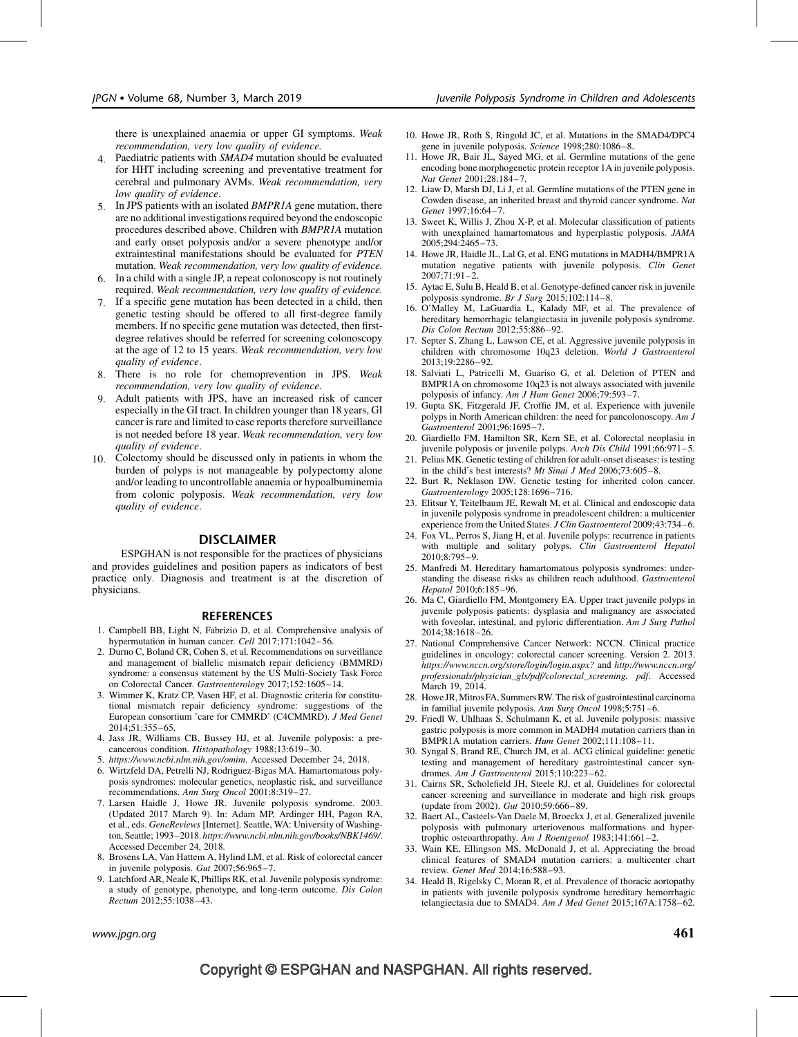there is unexplained anaemia or upper GI symptoms. Weak recommendation, very low quality of evidence.

- 4. Paediatric patients with SMAD4 mutation should be evaluated for HHT including screening and preventative treatment for cerebral and pulmonary AVMs. Weak recommendation, very low quality of evidence.
- 5. In JPS patients with an isolated BMPR1A gene mutation, there are no additional investigations required beyond the endoscopic procedures described above. Children with BMPR1A mutation and early onset polyposis and/or a severe phenotype and/or extraintestinal manifestations should be evaluated for PTEN mutation. Weak recommendation, very low quality of evidence.
- 6. In a child with a single JP, a repeat colonoscopy is not routinely required. Weak recommendation, very low quality of evidence.
- 7. If a specific gene mutation has been detected in a child, then genetic testing should be offered to all first-degree family members. If no specific gene mutation was detected, then firstdegree relatives should be referred for screening colonoscopy at the age of 12 to 15 years. Weak recommendation, very low quality of evidence.
- 8. There is no role for chemoprevention in JPS. Weak recommendation, very low quality of evidence.
- 9. Adult patients with JPS, have an increased risk of cancer especially in the GI tract. In children younger than 18 years, GI cancer is rare and limited to case reports therefore surveillance is not needed before 18 year. Weak recommendation, very low quality of evidence.
- 10. Colectomy should be discussed only in patients in whom the burden of polyps is not manageable by polypectomy alone and/or leading to uncontrollable anaemia or hypoalbuminemia from colonic polyposis. Weak recommendation, very low quality of evidence.

#### DISCLAIMER

ESPGHAN is not responsible for the practices of physicians and provides guidelines and position papers as indicators of best practice only. Diagnosis and treatment is at the discretion of physicians.

#### **REFERENCES**

- 1. Campbell BB, Light N, Fabrizio D, et al. Comprehensive analysis of hypermutation in human cancer. Cell 2017;171:1042-56.
- 2. Durno C, Boland CR, Cohen S, et al. Recommendations on surveillance and management of biallelic mismatch repair deficiency (BMMRD) syndrome: a consensus statement by the US Multi-Society Task Force on Colorectal Cancer. Gastroenterology 2017;152:1605–14.
- 3. Wimmer K, Kratz CP, Vasen HF, et al. Diagnostic criteria for constitutional mismatch repair deficiency syndrome: suggestions of the European consortium 'care for CMMRD' (C4CMMRD). J Med Genet 2014;51:355–65.
- 4. Jass JR, Williams CB, Bussey HJ, et al. Juvenile polyposis: a precancerous condition. Histopathology 1988;13:619–30.
- 5. <https://www.ncbi.nlm.nih.gov/omim>. Accessed December 24, 2018.
- 6. Wirtzfeld DA, Petrelli NJ, Rodriguez-Bigas MA. Hamartomatous polyposis syndromes: molecular genetics, neoplastic risk, and surveillance recommendations. Ann Surg Oncol 2001;8:319–27.
- 7. Larsen Haidle J, Howe JR. Juvenile polyposis syndrome. 2003. (Updated 2017 March 9). In: Adam MP, Ardinger HH, Pagon RA, et al., eds. GeneReviews [Internet]. Seattle, WA: University of Washington, Seattle; 1993–2018. <https://www.ncbi.nlm.nih.gov/books/NBK1469/>. Accessed December 24, 2018.
- 8. Brosens LA, Van Hattem A, Hylind LM, et al. Risk of colorectal cancer in juvenile polyposis. Gut 2007;56:965–7.
- 9. Latchford AR, Neale K, Phillips RK, et al. Juvenile polyposis syndrome: a study of genotype, phenotype, and long-term outcome. Dis Colon Rectum 2012;55:1038–43.
- 10. Howe JR, Roth S, Ringold JC, et al. Mutations in the SMAD4/DPC4 gene in juvenile polyposis. Science 1998;280:1086-8.
- 11. Howe JR, Bair JL, Sayed MG, et al. Germline mutations of the gene encoding bone morphogenetic protein receptor 1A in juvenile polyposis. Nat Genet 2001;28:184–7.
- 12. Liaw D, Marsh DJ, Li J, et al. Germline mutations of the PTEN gene in Cowden disease, an inherited breast and thyroid cancer syndrome. Nat Genet 1997;16:64–7.
- 13. Sweet K, Willis J, Zhou X-P, et al. Molecular classification of patients with unexplained hamartomatous and hyperplastic polyposis. JAMA 2005;294:2465–73.
- 14. Howe JR, Haidle JL, Lal G, et al. ENG mutations in MADH4/BMPR1A mutation negative patients with juvenile polyposis. Clin Genet 2007;71:91–2.
- 15. Aytac E, Sulu B, Heald B, et al. Genotype-defined cancer risk in juvenile polyposis syndrome. Br J Surg 2015;102:114–8.
- 16. O'Malley M, LaGuardia L, Kalady MF, et al. The prevalence of hereditary hemorrhagic telangiectasia in juvenile polyposis syndrome. Dis Colon Rectum 2012;55:886–92.
- 17. Septer S, Zhang L, Lawson CE, et al. Aggressive juvenile polyposis in children with chromosome 10q23 deletion. World J Gastroenterol 2013;19:2286–92.
- 18. Salviati L, Patricelli M, Guariso G, et al. Deletion of PTEN and BMPR1A on chromosome 10q23 is not always associated with juvenile polyposis of infancy. Am J Hum Genet 2006;79:593–7.
- 19. Gupta SK, Fitzgerald JF, Croffie JM, et al. Experience with juvenile polyps in North American children: the need for pancolonoscopy. Am J Gastroenterol 2001;96:1695–7.
- 20. Giardiello FM, Hamilton SR, Kern SE, et al. Colorectal neoplasia in juvenile polyposis or juvenile polyps. Arch Dis Child 1991;66:971-5.
- 21. Pelias MK. Genetic testing of children for adult-onset diseases: is testing in the child's best interests? Mt Sinai J Med 2006;73:605–8.
- 22. Burt R, Neklason DW. Genetic testing for inherited colon cancer. Gastroenterology 2005;128:1696–716.
- 23. Elitsur Y, Teitelbaum JE, Rewalt M, et al. Clinical and endoscopic data in juvenile polyposis syndrome in preadolescent children: a multicenter experience from the United States. J Clin Gastroenterol 2009;43:734–6.
- 24. Fox VL, Perros S, Jiang H, et al. Juvenile polyps: recurrence in patients with multiple and solitary polyps. Clin Gastroenterol Hepatol 2010;8:795–9.
- 25. Manfredi M. Hereditary hamartomatous polyposis syndromes: understanding the disease risks as children reach adulthood. Gastroenterol Hepatol 2010;6:185–96.
- 26. Ma C, Giardiello FM, Montgomery EA. Upper tract juvenile polyps in juvenile polyposis patients: dysplasia and malignancy are associated with foveolar, intestinal, and pyloric differentiation. Am J Surg Pathol 2014;38:1618–26.
- 27. National Comprehensive Cancer Network: NCCN. Clinical practice guidelines in oncology: colorectal cancer screening. Version 2. 2013. <https://www.nccn.org/store/login/login.aspx?> and [http://www.nccn.org/](http://www.nccn.org/professionals/physician_gls/pdf/colorectal_screening.%20pdf) [professionals/physician\\_gls/pdf/colorectal\\_screening. pdf](http://www.nccn.org/professionals/physician_gls/pdf/colorectal_screening.%20pdf). Accessed March 19, 2014.
- 28. Howe JR,Mitros FA, Summers RW. The risk of gastrointestinal carcinoma in familial juvenile polyposis. Ann Surg Oncol 1998;5:751–6.
- 29. Friedl W, Uhlhaas S, Schulmann K, et al. Juvenile polyposis: massive gastric polyposis is more common in MADH4 mutation carriers than in BMPR1A mutation carriers. Hum Genet 2002;111:108–11.
- 30. Syngal S, Brand RE, Church JM, et al. ACG clinical guideline: genetic testing and management of hereditary gastrointestinal cancer syndromes. Am J Gastroenterol 2015;110:223–62.
- 31. Cairns SR, Scholefield JH, Steele RJ, et al. Guidelines for colorectal cancer screening and surveillance in moderate and high risk groups (update from 2002). Gut 2010;59:666–89.
- 32. Baert AL, Casteels-Van Daele M, Broeckx J, et al. Generalized juvenile polyposis with pulmonary arteriovenous malformations and hypertrophic osteoarthropathy. Am J Roentgenol 1983;141:661-2.
- 33. Wain KE, Ellingson MS, McDonald J, et al. Appreciating the broad clinical features of SMAD4 mutation carriers: a multicenter chart review. Genet Med 2014;16:588–93.
- 34. Heald B, Rigelsky C, Moran R, et al. Prevalence of thoracic aortopathy in patients with juvenile polyposis syndrome hereditary hemorrhagic telangiectasia due to SMAD4. Am J Med Genet 2015;167A:1758–62.